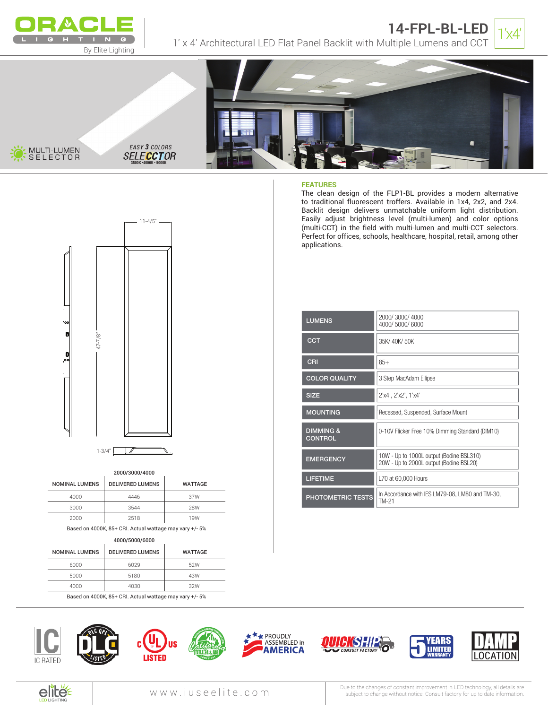

MULII-LUMEN<br>SELECTOR **SELEC** 





#### **FEATURES**

The clean design of the FLP1-BL provides a modern alternative to traditional fluorescent troffers. Available in 1x4, 2x2, and 2x4. Backlit design delivers unmatchable uniform light distribution. Easily adjust brightness level (multi-lumen) and color options (multi-CCT) in the field with multi-lumen and multi-CCT selectors. Perfect for offices, schools, healthcare, hospital, retail, among other applications.

| <b>LUMENS</b>                          | 2000/3000/4000<br>4000/5000/6000                                                    |
|----------------------------------------|-------------------------------------------------------------------------------------|
| <b>CCT</b>                             | 35K/40K/50K                                                                         |
| <b>CRI</b>                             | $85+$                                                                               |
| <b>COLOR QUALITY</b>                   | 3 Step MacAdam Ellipse                                                              |
| <b>SIZE</b>                            | 2'x4', 2'x2', 1'x4'                                                                 |
| <b>MOUNTING</b>                        | Recessed, Suspended, Surface Mount                                                  |
| <b>DIMMING &amp;</b><br><b>CONTROL</b> | 0-10V Flicker Free 10% Dimming Standard (DIM10)                                     |
| <b>EMERGENCY</b>                       | 10W - Up to 1000L output (Bodine BSL310)<br>20W - Up to 2000L output (Bodine BSL20) |
| <b>LIFETIME</b>                        | L70 at 60,000 Hours                                                                 |
| <b>PHOTOMETRIC TESTS</b>               | In Accordance with IES LM79-08, LM80 and TM-30,<br>TM-21                            |



**3500K •4000K • 5000K**

### 2000/3000/4000

| <b>NOMINAL LUMENS</b> | <b>DELIVERED LUMENS</b> | <b>WATTAGE</b> |
|-----------------------|-------------------------|----------------|
| 4000                  | 4446                    | 37W            |
| 3000                  | 3544                    | 28W            |
| 2000                  | 2518                    | 19W            |
|                       |                         |                |

Based on 4000K, 85+ CRI. Actual wattage may vary +/- 5%

#### 4000/5000/6000

|                       | <b>TUUUI JUUUI UUUU</b> |                |
|-----------------------|-------------------------|----------------|
| <b>NOMINAL LUMENS</b> | <b>DELIVERED LUMENS</b> | <b>WATTAGE</b> |
| 6000                  | 6029                    | 52W            |
| 5000                  | 5180                    | 43W            |
| 4000                  | 4030                    | 32W            |
|                       |                         |                |

Based on 4000K, 85+ CRI. Actual wattage may vary +/- 5%



 $\overline{a}$ 















Due to the changes of constant improvement in LED technology, all details are<br>WWW.iuse elimination.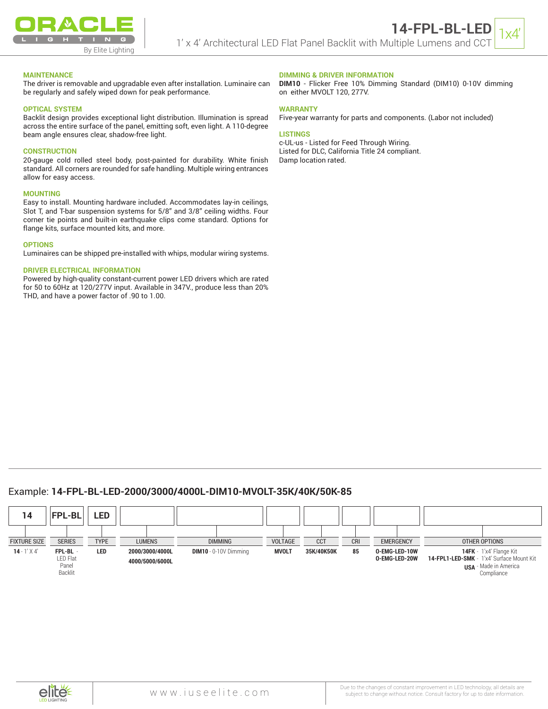

#### **MAINTENANCE**

The driver is removable and upgradable even after installation. Luminaire can be regularly and safely wiped down for peak performance.

#### **OPTICAL SYSTEM**

Backlit design provides exceptional light distribution. Illumination is spread across the entire surface of the panel, emitting soft, even light. A 110-degree beam angle ensures clear, shadow-free light.

#### **CONSTRUCTION**

20-gauge cold rolled steel body, post-painted for durability. White finish standard. All corners are rounded for safe handling. Multiple wiring entrances allow for easy access.

#### **MOUNTING**

Easy to install. Mounting hardware included. Accommodates lay-in ceilings, Slot T, and T-bar suspension systems for 5/8" and 3/8" ceiling widths. Four corner tie points and built-in earthquake clips come standard. Options for flange kits, surface mounted kits, and more.

#### **OPTIONS**

Luminaires can be shipped pre-installed with whips, modular wiring systems.

#### **DRIVER ELECTRICAL INFORMATION**

Powered by high-quality constant-current power LED drivers which are rated for 50 to 60Hz at 120/277V input. Available in 347V., produce less than 20% THD, and have a power factor of .90 to 1.00.

#### **DIMMING & DRIVER INFORMATION**

**DIM10** - Flicker Free 10% Dimming Standard (DIM10) 0-10V dimming on either MVOLT 120, 277V.

#### **WARRANTY**

Five-year warranty for parts and components. (Labor not included)

#### **LISTINGS**

c-UL-us - Listed for Feed Through Wiring. Listed for DLC, California Title 24 compliant. Damp location rated.

# Example: **14-FPL-BL-LED-2000/3000/4000L-DIM10-MVOLT-35K/40K/50K-85**

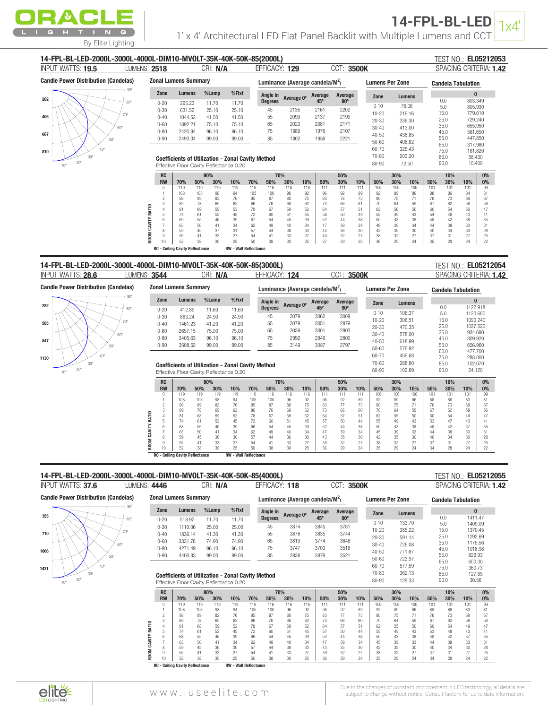

Candle Power Distribution (Candelas)

282 565

847 1130

Candle

90º 80º 70º 60º 50º 40º 30º  $20$ 

| INPUT WATTS: 19.5                           | LUMENS: 2518          |                                         | CRI: N/A             |          |                                                          | EFFICACY: 129                       |          | CCT:       | 3500K                  |          |               | SPACING CRITERIA: 1.42    |              |                    |          |  |  |
|---------------------------------------------|-----------------------|-----------------------------------------|----------------------|----------|----------------------------------------------------------|-------------------------------------|----------|------------|------------------------|----------|---------------|---------------------------|--------------|--------------------|----------|--|--|
| <b>Candle Power Distribution (Candelas)</b> |                       | <b>Zonal Lumens Summary</b>             |                      |          |                                                          | Luminance (Average candela/ $M^2$ ) |          |            | <b>Lumens Per Zone</b> |          |               | <b>Candela Tabulation</b> |              |                    |          |  |  |
|                                             | Zone                  | Lumens                                  | %Lamp                | %Fixt    | Angle in                                                 | Average 0°                          | Average  | Average    | Zone                   |          | <b>Lumens</b> |                           |              | $\bf{0}$           |          |  |  |
| $80^\circ$                                  | $0 - 20$              | 295.23                                  | 11.70                | 11.70    | <b>Degrees</b>                                           |                                     | 45°      | $90^\circ$ |                        |          |               |                           | 0.0          | 803.349            |          |  |  |
|                                             | $0 - 30$              | 631.52                                  | 25.10                | 25.10    | 45                                                       | 2135                                | 2161     | 2202       | $0 - 10$               |          | 76.06         |                           | 5.0          | 805.930            |          |  |  |
| $70^{\circ}$                                | $0 - 40$              | 1044.53                                 | 41.50                | 41.50    | 55                                                       | 2099                                | 2137     | 2199       | $10 - 20$              |          | 219.16        |                           | 15.0         | 779.010            |          |  |  |
|                                             | $0 - 60$              | 1892.21                                 | 75.10                | 75.10    | 65                                                       | 2023                                | 2081     | 2171       | $20 - 30$              |          | 336.30        |                           | 25.0<br>35.0 | 729.240<br>655.950 |          |  |  |
| 60°                                         | $0 - 80$              | 2420.84                                 | 96.10                | 96.10    | 75                                                       | 1889                                | 1976     | 2107       | $30 - 40$              |          | 413.00        |                           | 45.0         | 561.650            |          |  |  |
| 50°                                         | $0 - 90$              | 2493.34                                 | 99.00                | 99.00    | 85                                                       | 1802                                | 1958     | 2221       | $40 - 50$              |          | 438.85        |                           | 55.0         | 447.850            |          |  |  |
|                                             |                       |                                         |                      |          |                                                          |                                     |          |            |                        |          |               |                           |              |                    |          |  |  |
|                                             |                       |                                         |                      |          |                                                          |                                     |          |            | $50 - 60$              |          | 408.82        |                           |              |                    |          |  |  |
|                                             |                       |                                         |                      |          |                                                          |                                     |          |            | $60 - 70$              |          | 325.43        |                           | 65.0<br>75.0 | 317.980<br>181.820 |          |  |  |
| $30^\circ$                                  |                       |                                         |                      |          |                                                          |                                     |          |            | 70-80                  |          | 203.20        |                           | 85.0         | 58.430             |          |  |  |
| $20^{\circ}$<br>$10^{\circ}$                |                       | Effective Floor Cavity Reflectance 0.20 |                      |          | <b>Coefficients of Utilization - Zonal Cavity Method</b> |                                     |          |            | 80-90                  |          | 72.50         |                           | 90.0         | 10.400             |          |  |  |
|                                             | <b>RC</b>             |                                         | 80%                  |          | 70%                                                      |                                     |          | 50%        |                        | 30%      |               |                           | 10%          |                    | 0%       |  |  |
|                                             | <b>RW</b>             | 70%                                     | 30%<br>50%           | 10%      | 70%<br>50%                                               | 30%<br>10%                          | 50%      | 30%        | 10%<br>50%             | 30%      | 10%           | 50%                       | 30%          | 10%                | 0%       |  |  |
|                                             |                       | 119                                     | 119<br>119           | 119      | 116<br>116                                               | 116<br>116                          | 111      | 111        | 111<br>106             | 106      | 106           | 101                       | 101          | 101                | 99       |  |  |
|                                             |                       | 108                                     | 98<br>103            | 94       | 105<br>100                                               | 96<br>92                            | 96       | 92         | 89<br>92               | 89       | 86<br>71      | 88                        | 86           | 84                 | 81<br>67 |  |  |
|                                             |                       | 98<br>89                                | 82<br>89<br>69<br>78 | 76<br>62 | 95<br>87<br>76<br>86                                     | 80<br>75<br>68<br>62                | 83<br>73 | 78<br>66   | 73<br>80<br>61<br>70   | 75<br>64 | 59            | 76<br>67                  | 73<br>62     | 69<br>58           | 56       |  |  |
|                                             |                       | 81                                      | 59<br>69             | 53       | 79<br>67                                                 | 59<br>52                            | 64       | 57         | 51<br>62               | 56       | 50            | 60                        | 54           | 50                 | 47       |  |  |
|                                             | RATIO                 | 74                                      | 52<br>61             | 45       | 72<br>60                                                 | 51<br>45                            | 58       | 50         | 55<br>44               | 49       | 43            | 54                        | 48           | 43                 | 41       |  |  |
|                                             |                       | 69                                      | 46<br>55             | 39       | 54<br>67                                                 | 45<br>39                            | 52       | 44         | 38<br>50               | 43       | 38            | 48                        | 42           | 38                 | 35       |  |  |
|                                             |                       | 63                                      | 50<br>41             | 34       | 49<br>62                                                 | 40<br>34                            | 47       | 39         | 34<br>46               | 39       | 34            | 44                        | 38           | 33                 | 31       |  |  |
|                                             | CAVITY<br><b>ROOM</b> | 59<br>55                                | 45<br>37<br>33<br>41 | 31<br>27 | 44<br>57<br>54<br>41                                     | 36<br>30<br>33<br>27                | 43<br>40 | 36<br>32   | 30<br>42<br>27<br>38   | 35<br>32 | 30<br>27      | 40<br>37                  | 34<br>31     | 30<br>27           | 28<br>25 |  |  |

### INPUT WATTS: LUMENS: CRI: EFFICACY: CCT: SPACING CRITERIA: 28.6 3544 N/A 124 3500K 1.42 14-FPL-BL-LED-2000L-3000L-4000L-DIM10-MVOLT-35K-40K-50K-85(3000L) EL05212054

RC - Ceiling Cavity Reflectance RW - Wall Reflectance

Zonal Lumens Summary Luminance (Average candela/M<sup>2</sup>) Lumens Per Zone Candela Tabulation Zone Lumens %Lamp %Fixt 0 Angle in Average Average  $0^\circ$  Average Zone Lumens 0.0 1122.918<br>5.0 1120.680 0-20 412.89 11.60 11.60<br>0-30 883.24 24.90 24.90 45º 90º 0-10 106.37 5.0 1120.680 0-30 883.24 24.90 24.90<br>0-40 1461.23 41.20 41.20 45 3079 3060 3009 15.0 1090.240<br>25.0 1097.520 10-20 306.51 0-40 1461.23 41.20 41.20<br>0-60 2657.15 75.00 75.00 55 3079 3051 2979 25.0 1027.520<br>35.0 934.690 20-30 470.35 0-60 2657.15 75.00 75.00<br>0-80 3405.63 96.10 96.10 65 3039 3001 2903 35.0 934.690<br>45.0 809.920 30-40 578.00 0-80 3405.63 96.10 96.10 75 2992 2946 2800 45.0 809.920<br>55.0 656.960 40-50 618.99 3508.52 3149 55.0 656.960 50-60 576.92 65.0 477.700 60-70 459.68 75.0 288.000<br>85.0 102.070 70-80 288.80  $\frac{102.070}{90.0}$ Coefficients of Utilization - Zonal Cavity Method 80-90 102.89 24.120 Effective Floor Cavity Reflectance 0.20 RC | 80% | 70% | 50% | 30% | 10% | 0% RW 70% 50% 30% 10% 70% 50% 30% 10% 50% 30% 10% 50% 30% 10% 50% 30% 10% 0% 0 | 119 119 119 119 | 116 116 116 116 | 111 111 | 110 106 106 | 101 101 | 99 1 | 108 103 98 94 | 105 100 96 92 | 96 92 89 | 92 89 86 | 88 86 83 | 81 2 98 89 82 76 95 87 80 75 83 77 73 80 75 71 76 73 69 67 3 89 78 69 62 86 76 68 62 73 66 60 70 64 59 67 62 58 56 CAVITY RATIO ROOM CAVITY RATIO 4 81 68 59 52 78 67 59 52 64 57 51 62 55 50 60 54 49 47 5 74 61 52 45 72 60 51 45 57 50 44 55 49 43 53 47 43 41 6 68 55 46 39 66 54 45 39 52 44 38 50 43 38 48 42 37 35 7 | 63 50 41 34 | 62 49 40 34 | 47 39 34 | 45 39 33 | 44 38 33 | 31 8 59 45 36 30 57 44 36 30 43 35 30 42 35 30 40 34 30 28 **ROOM** 9 | 55 | 41 | 33 | 27 | 54 | 41 | 33 | 27 | 39 | 32 | 27 | 38 | 32 | 27 | 37 | 31 | 27 | 25 10 | 52 38 30 25 | 50 38 30 25 | 36 29 24 | 35 29 24 | 34 28 24 | 22

# 14-FPL-BL-LED-2000L-3000L-4000L-DIM10-MVOLT-35K-40K-50K-85(4000L) EL05212055

# **TEST NO.: EL05212055**

**TEST NO.: EL05212054** 

| INPUT WATTS: 37.6                           | LUMENS: 4446 |             |                             | CRI: N/A       |                                         |                                                          | EFFICACY: 118                  |                | CCT:       | 3500K          |                        |          |          |              |                           | SPACING CRITERIA: 1.42 |
|---------------------------------------------|--------------|-------------|-----------------------------|----------------|-----------------------------------------|----------------------------------------------------------|--------------------------------|----------------|------------|----------------|------------------------|----------|----------|--------------|---------------------------|------------------------|
| <b>Candle Power Distribution (Candelas)</b> |              |             | <b>Zonal Lumens Summary</b> |                |                                         |                                                          | Luminance (Average candela/M2) |                |            |                | <b>Lumens Per Zone</b> |          |          |              | <b>Candela Tabulation</b> |                        |
|                                             | $90^\circ$   | Zone        | Lumens                      | %Lamp          | %Fixt                                   | Angle in                                                 | Average 0°                     | Average        | Average    | Zone           |                        | Lumens   |          |              | $\bf{0}$                  |                        |
| 355                                         | $80^\circ$   | $0 - 20$    | 518.92                      | 11.70          | 11.70                                   | <b>Degrees</b>                                           |                                | 45°            | $90^\circ$ |                |                        |          |          | 0.0          | 1411.47                   |                        |
|                                             |              | $0 - 30$    | 1110.06                     | 25.00          | 25.00                                   | 45                                                       | 3874                           | 3845           | 3781       | $0 - 10$       |                        | 133.70   |          | 5.0          | 1409.09                   |                        |
| 710                                         | $70^{\circ}$ | $0 - 40$    | 1836.14                     | 41.30          | 41.30                                   | 55                                                       | 3876                           | 3835           | 3744       | $10 - 20$      |                        | 385.22   |          | 15.0         | 1370.45                   |                        |
|                                             |              | $0 - 60$    | 3331.78                     | 74.90          | 74.90                                   | 65                                                       | 3819                           | 3774           | 3648       | $20 - 30$      |                        | 591.14   |          | 25.0         | 1292.69                   |                        |
| 60°                                         |              |             |                             |                |                                         |                                                          |                                |                |            | $30 - 40$      |                        | 726.08   |          | 35.0         | 1175.56                   |                        |
| 1066                                        |              | $0 - 80$    | 4271.49                     | 96.10          | 96.10                                   | 75                                                       | 3747                           | 3703           | 3516       | $40 - 50$      |                        | 771.67   |          | 45.0         | 1018.98                   |                        |
| 50°                                         |              | $0 - 90$    | 4400.83                     | 99.00          | 99.00                                   | 85                                                       | 3938                           | 3879           | 3521       | $50 - 60$      |                        | 723.97   |          | 55.0         | 826.93                    |                        |
| 40°                                         |              |             |                             |                |                                         |                                                          |                                |                |            | 60-70          |                        | 577.59   |          | 65.0         | 600.30                    |                        |
| 1421<br>30 <sup>o</sup>                     |              |             |                             |                |                                         |                                                          |                                |                |            | 70-80          |                        | 362.13   |          | 75.0         | 360.73                    |                        |
| $20^{\circ}$                                |              |             |                             |                |                                         | <b>Coefficients of Utilization - Zonal Cavity Method</b> |                                |                |            |                |                        |          |          | 85.0<br>90.0 | 127.65<br>30.56           |                        |
| $10^{\circ}$                                |              |             |                             |                | Effective Floor Cavity Reflectance 0.20 |                                                          |                                |                |            | 80-90          |                        | 129.33   |          |              |                           |                        |
|                                             |              | <b>RC</b>   |                             | 80%            |                                         |                                                          | 70%                            |                | 50%        |                | 30%                    |          |          | 10%          |                           | 0%                     |
|                                             |              | <b>RW</b>   | 70%                         | 50%<br>30%     | 10%                                     | 70%<br>50%                                               | 30%                            | 10%<br>50%     | 30%        | 10%<br>50%     | 30%                    | 10%      | 50%      | 30%          | 10%                       | $0\%$                  |
|                                             |              |             | 119                         | 119<br>119     | 119                                     | 116<br>116                                               | 116                            | 116<br>111     | 111        | 111<br>106     | 106                    | 106      | 101      | 101          | 101                       | 99                     |
|                                             |              |             | 108                         | 98<br>103      | 94                                      | 105<br>100                                               | 96                             | 92<br>96       | 92         | 92<br>89       | 89                     | 86       | 88       | 86           | 83                        | 81                     |
|                                             |              |             | 98                          | 82<br>89<br>78 | 76<br>62                                | 95<br>87<br>86                                           | 80                             | 75<br>83<br>73 | 77         | 73<br>80<br>70 | 75<br>64               | 71       | 76       | 73           | 69                        | 67<br>56               |
|                                             |              |             | 89<br>81                    | 69<br>59<br>68 | 52                                      | 76<br>78<br>67                                           | 68<br>59                       | 62<br>52<br>64 | 66<br>57   | 60<br>51<br>62 | 55                     | 59<br>50 | 67<br>60 | 62<br>54     | 58<br>49                  | 47                     |
|                                             |              | RATIO       | 74                          | 52<br>61       | 45                                      | 72<br>60                                                 | 51                             | 45<br>57       | 50         | 55<br>44       | 49                     | 43       | 53       | 48           | 43                        | 41                     |
|                                             |              |             | 68                          | 46<br>55       | 39                                      | 66<br>54                                                 | 45                             | 39<br>52       | 44         | 38<br>50       | 43                     | 38       | 48       | 42           | 37                        | 35                     |
|                                             | CAVIT        |             | 63                          | 50<br>41       | 34                                      | 49<br>62                                                 | 40                             | 34<br>47       | 39         | 34<br>45       | 39                     | 33       |          | 38           | 33                        | 31                     |
|                                             |              |             | 59                          | 36<br>45       | 30                                      | 57<br>44                                                 | 36                             | 30<br>43       | 35         | 42<br>30       | 35                     | 30       | 40       | 34           | 30                        | 28                     |
|                                             |              |             | 55                          | 33<br>41       | 27                                      | 54<br>41                                                 | 33                             | 27<br>39       | 32         | 27<br>38       | 32                     | 27       | 37       | 31           | 27                        | 25                     |
|                                             |              | <b>ROOM</b> | 52                          | 38<br>30       | 25                                      | 50<br>38                                                 | 30                             | 25<br>36       | 29         | 24<br>35       | 29                     | 24       | 34       | 28           | 24                        | 22                     |
|                                             |              |             |                             |                |                                         |                                                          |                                |                |            |                |                        |          |          |              |                           |                        |